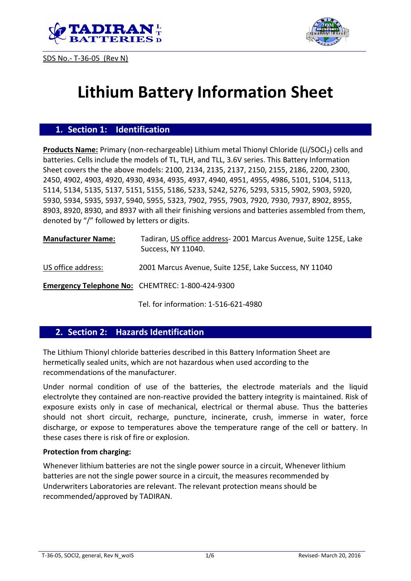





# **Lithium Battery Information Sheet**

#### **1. Section 1: Identification**

**Products Name:** Primary (non-rechargeable) Lithium metal Thionyl Chloride (Li/SOCl<sub>2</sub>) cells and batteries. Cells include the models of TL, TLH, and TLL, 3.6V series. This Battery Information Sheet covers the the above models: 2100, 2134, 2135, 2137, 2150, 2155, 2186, 2200, 2300, 2450, 4902, 4903, 4920, 4930, 4934, 4935, 4937, 4940, 4951, 4955, 4986, 5101, 5104, 5113, 5114, 5134, 5135, 5137, 5151, 5155, 5186, 5233, 5242, 5276, 5293, 5315, 5902, 5903, 5920, 5930, 5934, 5935, 5937, 5940, 5955, 5323, 7902, 7955, 7903, 7920, 7930, 7937, 8902, 8955, 8903, 8920, 8930, and 8937 with all their finishing versions and batteries assembled from them, denoted by "/" followed by letters or digits.

| <b>Manufacturer Name:</b> | Tadiran, US office address-2001 Marcus Avenue, Suite 125E, Lake<br>Success, NY 11040. |
|---------------------------|---------------------------------------------------------------------------------------|
| US office address:        | 2001 Marcus Avenue, Suite 125E, Lake Success, NY 11040                                |
|                           | <b>Emergency Telephone No: CHEMTREC: 1-800-424-9300</b>                               |

Tel. for information: 1-516-621-4980

## **2. Section 2: Hazards Identification**

The Lithium Thionyl chloride batteries described in this Battery Information Sheet are hermetically sealed units, which are not hazardous when used according to the recommendations of the manufacturer.

Under normal condition of use of the batteries, the electrode materials and the liquid electrolyte they contained are non-reactive provided the battery integrity is maintained. Risk of exposure exists only in case of mechanical, electrical or thermal abuse. Thus the batteries should not short circuit, recharge, puncture, incinerate, crush, immerse in water, force discharge, or expose to temperatures above the temperature range of the cell or battery. In these cases there is risk of fire or explosion.

#### **Protection from charging:**

Whenever lithium batteries are not the single power source in a circuit, Whenever lithium batteries are not the single power source in a circuit, the measures recommended by Underwriters Laboratories are relevant. The relevant protection means should be recommended/approved by TADIRAN.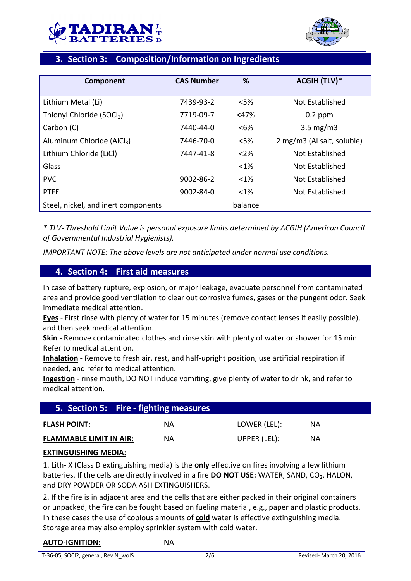



# **3. Section 3: Composition/Information on Ingredients**

| Component                              | <b>CAS Number</b> | %       | <b>ACGIH (TLV)*</b>        |
|----------------------------------------|-------------------|---------|----------------------------|
|                                        |                   |         |                            |
| Lithium Metal (Li)                     | 7439-93-2         | $<$ 5%  | Not Established            |
| Thionyl Chloride (SOCl2)               | 7719-09-7         | $<$ 47% | $0.2$ ppm                  |
| Carbon (C)                             | 7440-44-0         | $<6\%$  | $3.5 \text{ mg/m}$         |
| Aluminum Chloride (AlCl <sub>3</sub> ) | 7446-70-0         | $<$ 5%  | 2 mg/m3 (Al salt, soluble) |
| Lithium Chloride (LiCl)                | 7447-41-8         | $<$ 2%  | Not Established            |
| Glass                                  |                   | $< 1\%$ | Not Established            |
| <b>PVC</b>                             | 9002-86-2         | $< 1\%$ | Not Established            |
| <b>PTFE</b>                            | $9002 - 84 - 0$   | $<$ 1%  | Not Established            |
| Steel, nickel, and inert components    |                   | balance |                            |

*\* TLV- Threshold Limit Value is personal exposure limits determined by ACGIH (American Council of Governmental Industrial Hygienists).*

*IMPORTANT NOTE: The above levels are not anticipated under normal use conditions.*

## **4. Section 4: First aid measures**

In case of battery rupture, explosion, or major leakage, evacuate personnel from contaminated area and provide good ventilation to clear out corrosive fumes, gases or the pungent odor. Seek immediate medical attention.

**Eyes** - First rinse with plenty of water for 15 minutes (remove contact lenses if easily possible), and then seek medical attention.

**Skin** - Remove contaminated clothes and rinse skin with plenty of water or shower for 15 min. Refer to medical attention.

**Inhalation** - Remove to fresh air, rest, and half-upright position, use artificial respiration if needed, and refer to medical attention.

**Ingestion** - rinse mouth, DO NOT induce vomiting, give plenty of water to drink, and refer to medical attention.

|                                | 5. Section 5: Fire - fighting measures |              |    |  |
|--------------------------------|----------------------------------------|--------------|----|--|
| <b>FLASH POINT:</b>            | ΝA                                     | LOWER (LEL): | ΝA |  |
| <b>FLAMMABLE LIMIT IN AIR:</b> | ΝA                                     | UPPER (LEL): | ΝA |  |

#### **EXTINGUISHING MEDIA:**

1. Lith- X (Class D extinguishing media) is the **only** effective on fires involving a few lithium batteries. If the cells are directly involved in a fire **DO NOT USE:** WATER, SAND, CO<sub>2</sub>, HALON, and DRY POWDER OR SODA ASH EXTINGUISHERS.

2. If the fire is in adjacent area and the cells that are either packed in their original containers or unpacked, the fire can be fought based on fueling material, e.g., paper and plastic products. In these cases the use of copious amounts of **cold** water is effective extinguishing media. Storage area may also employ sprinkler system with cold water.

#### **AUTO-IGNITION:** NA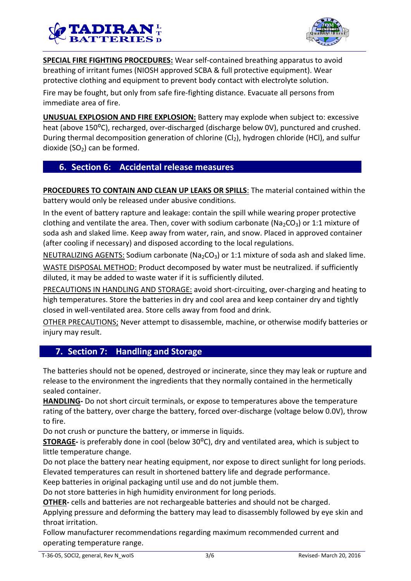



**SPECIAL FIRE FIGHTING PROCEDURES:** Wear self-contained breathing apparatus to avoid breathing of irritant fumes (NIOSH approved SCBA & full protective equipment). Wear protective clothing and equipment to prevent body contact with electrolyte solution.

Fire may be fought, but only from safe fire-fighting distance. Evacuate all persons from immediate area of fire.

**UNUSUAL EXPLOSION AND FIRE EXPLOSION:** Battery may explode when subject to: excessive heat (above 150°C), recharged, over-discharged (discharge below 0V), punctured and crushed. During thermal decomposition generation of chlorine ( $Cl<sub>2</sub>$ ), hydrogen chloride (HCl), and sulfur dioxide  $(SO<sub>2</sub>)$  can be formed.

## **6. Section 6: Accidental release measures**

**PROCEDURES TO CONTAIN AND CLEAN UP LEAKS OR SPILLS**: The material contained within the battery would only be released under abusive conditions.

In the event of battery rapture and leakage: contain the spill while wearing proper protective clothing and ventilate the area. Then, cover with sodium carbonate (Na<sub>2</sub>CO<sub>3</sub>) or 1:1 mixture of soda ash and slaked lime. Keep away from water, rain, and snow. Placed in approved container (after cooling if necessary) and disposed according to the local regulations.

NEUTRALIZING AGENTS: Sodium carbonate (Na<sub>2</sub>CO<sub>3</sub>) or 1:1 mixture of soda ash and slaked lime.

WASTE DISPOSAL METHOD: Product decomposed by water must be neutralized. if sufficiently diluted, it may be added to waste water if it is sufficiently diluted.

PRECAUTIONS IN HANDLING AND STORAGE: avoid short-circuiting, over-charging and heating to high temperatures. Store the batteries in dry and cool area and keep container dry and tightly closed in well-ventilated area. Store cells away from food and drink.

OTHER PRECAUTIONS; Never attempt to disassemble, machine, or otherwise modify batteries or injury may result.

## **7. Section 7: Handling and Storage**

The batteries should not be opened, destroyed or incinerate, since they may leak or rupture and release to the environment the ingredients that they normally contained in the hermetically sealed container.

**HANDLING-** Do not short circuit terminals, or expose to temperatures above the temperature rating of the battery, over charge the battery, forced over-discharge (voltage below 0.0V), throw to fire.

Do not crush or puncture the battery, or immerse in liquids.

**STORAGE-** is preferably done in cool (below 30<sup>o</sup>C), dry and ventilated area, which is subject to little temperature change.

Do not place the battery near heating equipment, nor expose to direct sunlight for long periods. Elevated temperatures can result in shortened battery life and degrade performance.

Keep batteries in original packaging until use and do not jumble them.

Do not store batteries in high humidity environment for long periods.

**OTHER-** cells and batteries are not rechargeable batteries and should not be charged.

Applying pressure and deforming the battery may lead to disassembly followed by eye skin and throat irritation.

Follow manufacturer recommendations regarding maximum recommended current and operating temperature range.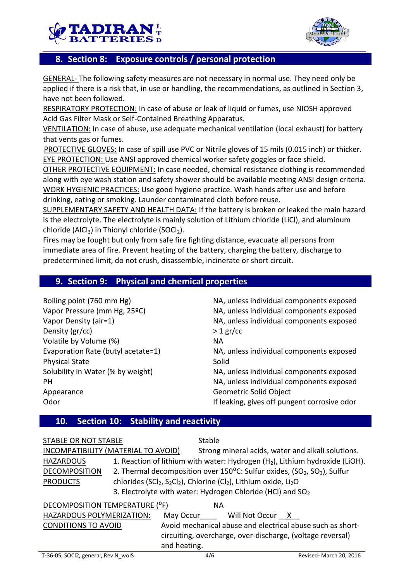



# **8. Section 8: Exposure controls / personal protection**

GENERAL- The following safety measures are not necessary in normal use. They need only be applied if there is a risk that, in use or handling, the recommendations, as outlined in Section 3, have not been followed.

RESPIRATORY PROTECTION: In case of abuse or leak of liquid or fumes, use NIOSH approved Acid Gas Filter Mask or Self-Contained Breathing Apparatus.

VENTILATION: In case of abuse, use adequate mechanical ventilation (local exhaust) for battery that vents gas or fumes.

PROTECTIVE GLOVES: In case of spill use PVC or Nitrile gloves of 15 mils (0.015 inch) or thicker. EYE PROTECTION: Use ANSI approved chemical worker safety goggles or face shield.

OTHER PROTECTIVE EQUIPMENT: In case needed, chemical resistance clothing is recommended along with eye wash station and safety shower should be available meeting ANSI design criteria. WORK HYGIENIC PRACTICES: Use good hygiene practice. Wash hands after use and before drinking, eating or smoking. Launder contaminated cloth before reuse.

SUPPLEMENTARY SAFETY AND HEALTH DATA: If the battery is broken or leaked the main hazard is the electrolyte. The electrolyte is mainly solution of Lithium chloride (LiCl), and aluminum chloride (AlCl<sub>3</sub>) in Thionyl chloride (SOCl<sub>2</sub>).

Fires may be fought but only from safe fire fighting distance, evacuate all persons from immediate area of fire. Prevent heating of the battery, charging the battery, discharge to predetermined limit, do not crush, disassemble, incinerate or short circuit.

## **9. Section 9: Physical and chemical properties**

| Boiling point (760 mm Hg)          | NA, unless individual components exposed     |
|------------------------------------|----------------------------------------------|
| Vapor Pressure (mm Hg, 25°C)       | NA, unless individual components exposed     |
| Vapor Density (air=1)              | NA, unless individual components exposed     |
| Density (gr/cc)                    | $>1$ gr/cc                                   |
| Volatile by Volume (%)             | <b>NA</b>                                    |
| Evaporation Rate (butyl acetate=1) | NA, unless individual components exposed     |
| <b>Physical State</b>              | Solid                                        |
| Solubility in Water (% by weight)  | NA, unless individual components exposed     |
| PH                                 | NA, unless individual components exposed     |
| Appearance                         | Geometric Solid Object                       |
| Odor                               | If leaking, gives off pungent corrosive odor |

## **10. Section 10: Stability and reactivity**

| STABLE OR NOT STABLE                | Stable       |                                                                                                                               |                                                                                                            |
|-------------------------------------|--------------|-------------------------------------------------------------------------------------------------------------------------------|------------------------------------------------------------------------------------------------------------|
| INCOMPATIBILITY (MATERIAL TO AVOID) |              |                                                                                                                               | Strong mineral acids, water and alkali solutions.                                                          |
| <b>HAZARDOUS</b>                    |              |                                                                                                                               | 1. Reaction of lithium with water: Hydrogen $(H_2)$ , Lithium hydroxide (LiOH).                            |
| <b>DECOMPOSITION</b>                |              |                                                                                                                               | 2. Thermal decomposition over $150^{\circ}$ C: Sulfur oxides, (SO <sub>2</sub> , SO <sub>3</sub> ), Sulfur |
| <b>PRODUCTS</b>                     |              | chlorides (SCl <sub>2</sub> , S <sub>2</sub> Cl <sub>2</sub> ), Chlorine (Cl <sub>2</sub> ), Lithium oxide, Li <sub>2</sub> O |                                                                                                            |
|                                     |              | 3. Electrolyte with water: Hydrogen Chloride (HCl) and $SO2$                                                                  |                                                                                                            |
| DECOMPOSITION TEMPERATURE (°F)      | <b>NA</b>    |                                                                                                                               |                                                                                                            |
| HAZARDOUS POLYMERIZATION:           |              | May Occur Will Not Occur X                                                                                                    |                                                                                                            |
| <b>CONDITIONS TO AVOID</b>          |              |                                                                                                                               | Avoid mechanical abuse and electrical abuse such as short-                                                 |
|                                     |              |                                                                                                                               | circuiting, overcharge, over-discharge, (voltage reversal)                                                 |
|                                     | and heating. |                                                                                                                               |                                                                                                            |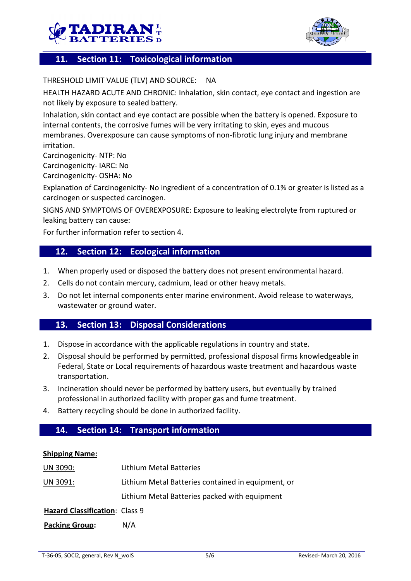



# **11. Section 11: Toxicological information**

THRESHOLD LIMIT VALUE (TLV) AND SOURCE: NA

HEALTH HAZARD ACUTE AND CHRONIC: Inhalation, skin contact, eye contact and ingestion are not likely by exposure to sealed battery.

Inhalation, skin contact and eye contact are possible when the battery is opened. Exposure to internal contents, the corrosive fumes will be very irritating to skin, eyes and mucous membranes. Overexposure can cause symptoms of non-fibrotic lung injury and membrane irritation.

Carcinogenicity- NTP: No

Carcinogenicity- IARC: No

Carcinogenicity- OSHA: No

Explanation of Carcinogenicity- No ingredient of a concentration of 0.1% or greater is listed as a carcinogen or suspected carcinogen.

SIGNS AND SYMPTOMS OF OVEREXPOSURE: Exposure to leaking electrolyte from ruptured or leaking battery can cause:

For further information refer to section 4.

## **12. Section 12: Ecological information**

- 1. When properly used or disposed the battery does not present environmental hazard.
- 2. Cells do not contain mercury, cadmium, lead or other heavy metals.
- 3. Do not let internal components enter marine environment. Avoid release to waterways, wastewater or ground water.

## **13. Section 13: Disposal Considerations**

- 1. Dispose in accordance with the applicable regulations in country and state.
- 2. Disposal should be performed by permitted, professional disposal firms knowledgeable in Federal, State or Local requirements of hazardous waste treatment and hazardous waste transportation.
- 3. Incineration should never be performed by battery users, but eventually by trained professional in authorized facility with proper gas and fume treatment.
- 4. Battery recycling should be done in authorized facility.

## **14. Section 14: Transport information**

#### **Shipping Name:**

| UN 3090:                       | Lithium Metal Batteries                            |
|--------------------------------|----------------------------------------------------|
| UN 3091:                       | Lithium Metal Batteries contained in equipment, or |
|                                | Lithium Metal Batteries packed with equipment      |
| Hazard Classification: Class 9 |                                                    |
| <b>Packing Group:</b>          | N/A                                                |